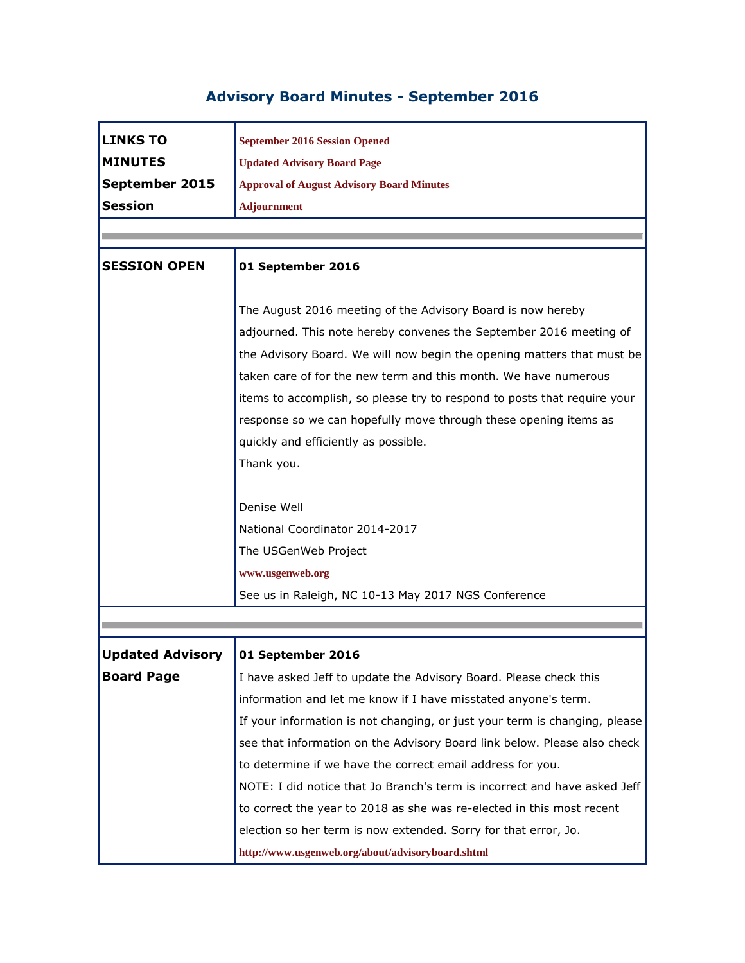## **Advisory Board Minutes - September 2016**

| <b>LINKS TO</b>         | <b>September 2016 Session Opened</b>                                       |
|-------------------------|----------------------------------------------------------------------------|
| <b>MINUTES</b>          | <b>Updated Advisory Board Page</b>                                         |
| September 2015          | <b>Approval of August Advisory Board Minutes</b>                           |
| <b>Session</b>          | <b>Adjournment</b>                                                         |
|                         |                                                                            |
|                         |                                                                            |
| <b>SESSION OPEN</b>     | 01 September 2016                                                          |
|                         |                                                                            |
|                         | The August 2016 meeting of the Advisory Board is now hereby                |
|                         | adjourned. This note hereby convenes the September 2016 meeting of         |
|                         | the Advisory Board. We will now begin the opening matters that must be     |
|                         | taken care of for the new term and this month. We have numerous            |
|                         | items to accomplish, so please try to respond to posts that require your   |
|                         | response so we can hopefully move through these opening items as           |
|                         | quickly and efficiently as possible.                                       |
|                         | Thank you.                                                                 |
|                         |                                                                            |
|                         | Denise Well                                                                |
|                         | National Coordinator 2014-2017                                             |
|                         | The USGenWeb Project                                                       |
|                         | www.usgenweb.org                                                           |
|                         | See us in Raleigh, NC 10-13 May 2017 NGS Conference                        |
|                         |                                                                            |
|                         |                                                                            |
| <b>Updated Advisory</b> | 01 September 2016                                                          |
| <b>Board Page</b>       | I have asked Jeff to update the Advisory Board. Please check this          |
|                         | information and let me know if I have misstated anyone's term.             |
|                         | If your information is not changing, or just your term is changing, please |
|                         | see that information on the Advisory Board link below. Please also check   |
|                         | to determine if we have the correct email address for you.                 |
|                         | NOTE: I did notice that Jo Branch's term is incorrect and have asked Jeff  |
|                         | to correct the year to 2018 as she was re-elected in this most recent      |
|                         | election so her term is now extended. Sorry for that error, Jo.            |
|                         | http://www.usgenweb.org/about/advisoryboard.shtml                          |